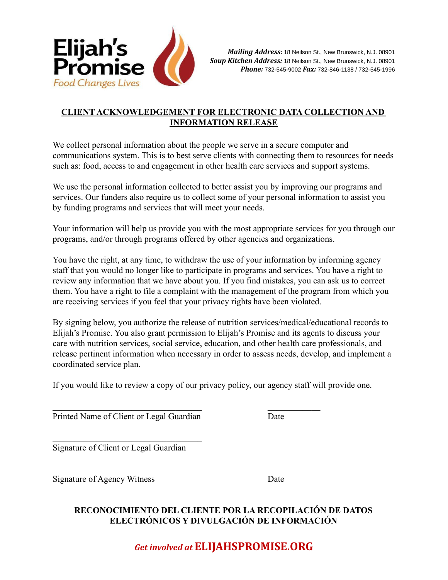

## **CLIENT ACKNOWLEDGEMENT FOR ELECTRONIC DATA COLLECTION AND INFORMATION RELEASE**

We collect personal information about the people we serve in a secure computer and communications system. This is to best serve clients with connecting them to resources for needs such as: food, access to and engagement in other health care services and support systems.

We use the personal information collected to better assist you by improving our programs and services. Our funders also require us to collect some of your personal information to assist you by funding programs and services that will meet your needs.

Your information will help us provide you with the most appropriate services for you through our programs, and/or through programs offered by other agencies and organizations.

You have the right, at any time, to withdraw the use of your information by informing agency staff that you would no longer like to participate in programs and services. You have a right to review any information that we have about you. If you find mistakes, you can ask us to correct them. You have a right to file a complaint with the management of the program from which you are receiving services if you feel that your privacy rights have been violated.

By signing below, you authorize the release of nutrition services/medical/educational records to Elijah's Promise. You also grant permission to Elijah's Promise and its agents to discuss your care with nutrition services, social service, education, and other health care professionals, and release pertinent information when necessary in order to assess needs, develop, and implement a coordinated service plan.

If you would like to review a copy of our privacy policy, our agency staff will provide one.

 $\mathcal{L}_\text{max}$  and the contract of the contract of the contract of the contract of the contract of the contract of the contract of the contract of the contract of the contract of the contract of the contract of the contrac

 $\mathcal{L}_\text{max}$  and the contract of the contract of the contract of the contract of the contract of the contract of the contract of the contract of the contract of the contract of the contract of the contract of the contrac

Printed Name of Client or Legal Guardian Date

 $\mathcal{L}_\text{max}$ 

Signature of Client or Legal Guardian

Signature of Agency Witness Date

## **RECONOCIMIENTO DEL CLIENTE POR LA RECOPILACIÓN DE DATOS ELECTRÓNICOS Y DIVULGACIÓN DE INFORMACIÓN**

*Get involved at* **ELIJAHSPROMISE.ORG**